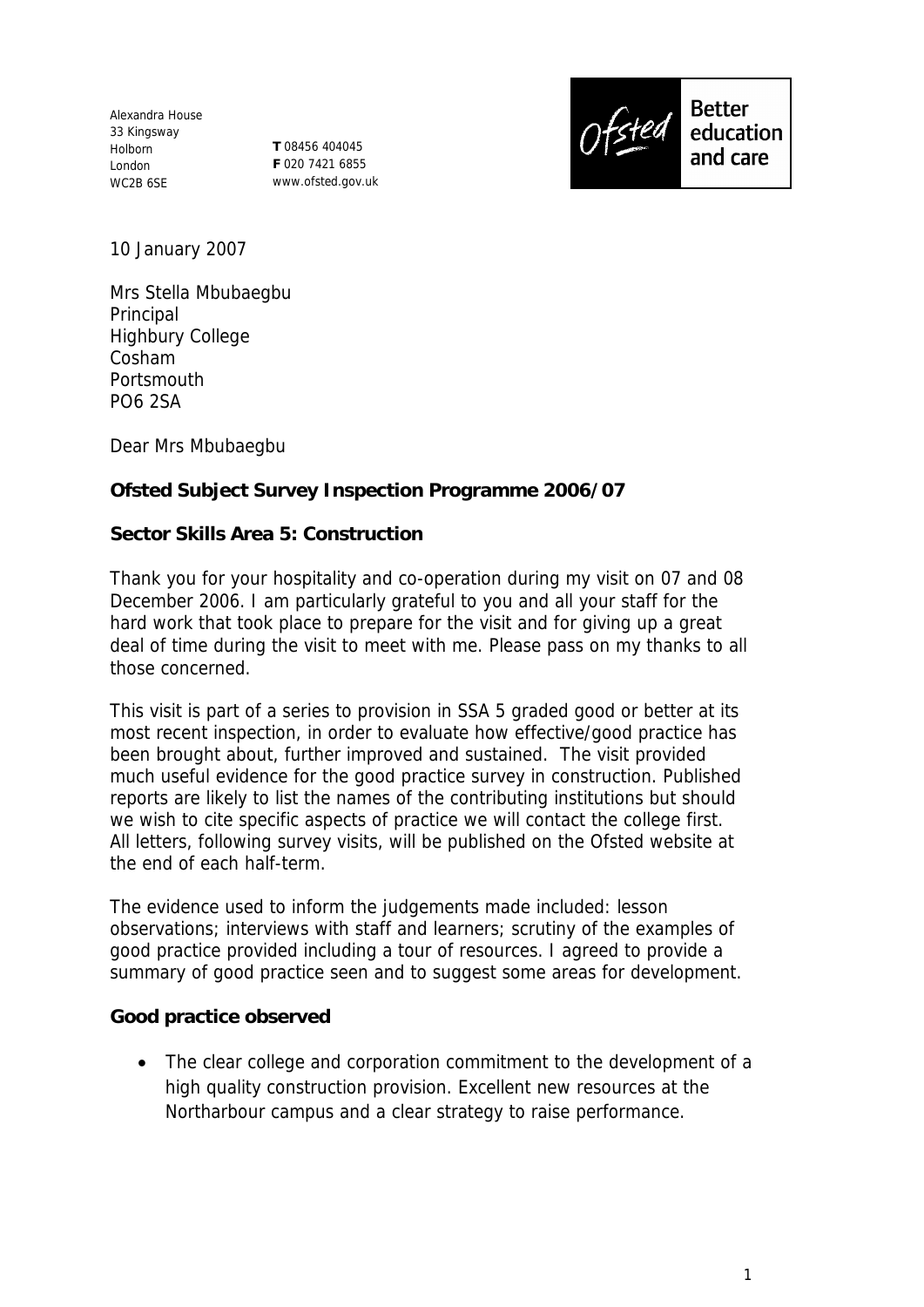Alexandra House 33 Kingsway Holborn London WC2B 6SE

**T** 08456 404045 **F** 020 7421 6855 www.ofsted.gov.uk



10 January 2007

Mrs Stella Mbubaegbu Principal Highbury College Cosham Portsmouth PO6 2SA

Dear Mrs Mbubaegbu

**Ofsted Subject Survey Inspection Programme 2006/07**

**Sector Skills Area 5: Construction** 

Thank you for your hospitality and co-operation during my visit on 07 and 08 December 2006. I am particularly grateful to you and all your staff for the hard work that took place to prepare for the visit and for giving up a great deal of time during the visit to meet with me. Please pass on my thanks to all those concerned.

This visit is part of a series to provision in SSA 5 graded good or better at its most recent inspection, in order to evaluate how effective/good practice has been brought about, further improved and sustained. The visit provided much useful evidence for the good practice survey in construction. Published reports are likely to list the names of the contributing institutions but should we wish to cite specific aspects of practice we will contact the college first. All letters, following survey visits, will be published on the Ofsted website at the end of each half-term.

The evidence used to inform the judgements made included: lesson observations; interviews with staff and learners; scrutiny of the examples of good practice provided including a tour of resources. I agreed to provide a summary of good practice seen and to suggest some areas for development.

**Good practice observed** 

 The clear college and corporation commitment to the development of a high quality construction provision. Excellent new resources at the Northarbour campus and a clear strategy to raise performance.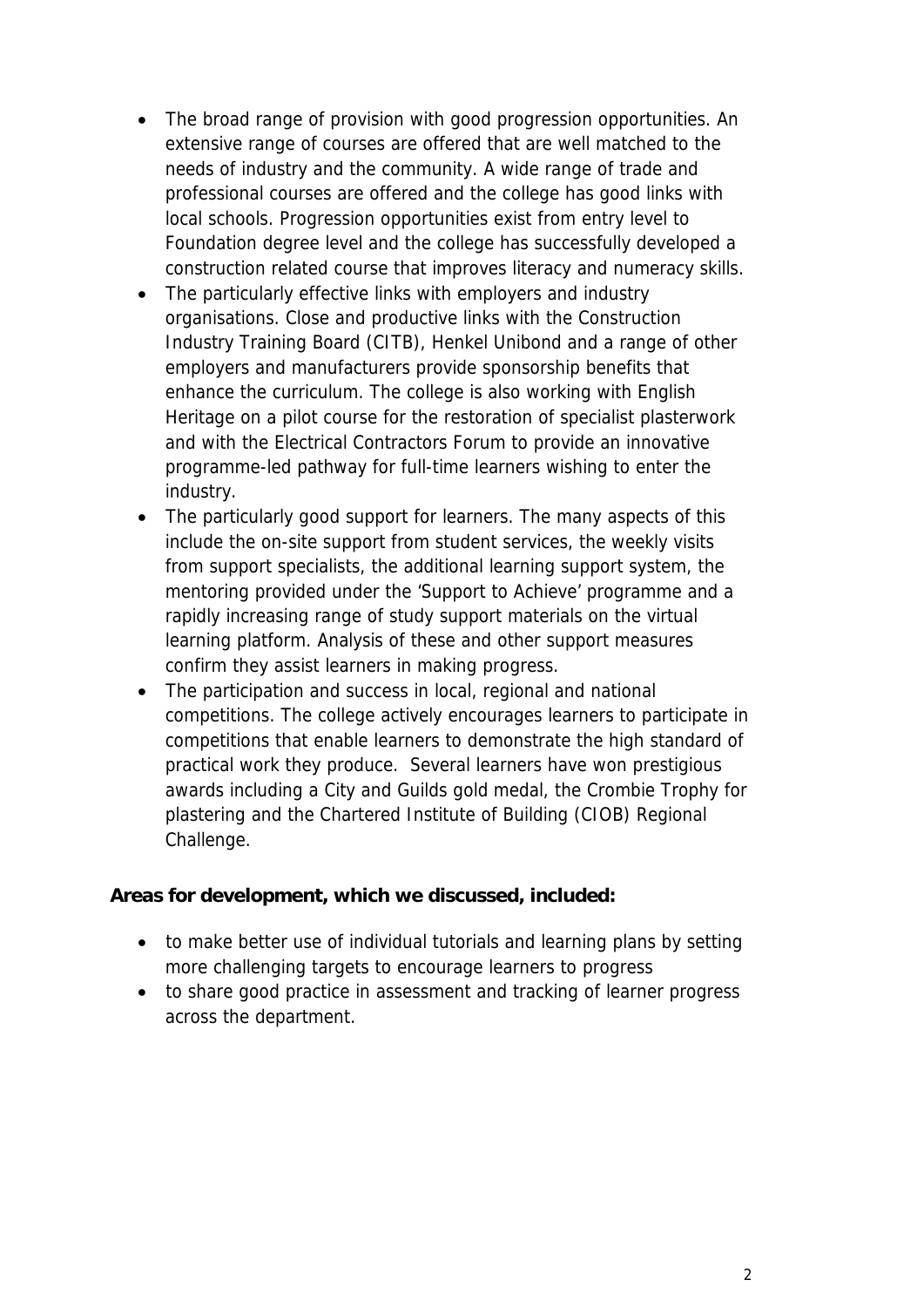- The broad range of provision with good progression opportunities. An extensive range of courses are offered that are well matched to the needs of industry and the community. A wide range of trade and professional courses are offered and the college has good links with local schools. Progression opportunities exist from entry level to Foundation degree level and the college has successfully developed a construction related course that improves literacy and numeracy skills.
- The particularly effective links with employers and industry organisations. Close and productive links with the Construction Industry Training Board (CITB), Henkel Unibond and a range of other employers and manufacturers provide sponsorship benefits that enhance the curriculum. The college is also working with English Heritage on a pilot course for the restoration of specialist plasterwork and with the Electrical Contractors Forum to provide an innovative programme-led pathway for full-time learners wishing to enter the industry.
- The particularly good support for learners. The many aspects of this include the on-site support from student services, the weekly visits from support specialists, the additional learning support system, the mentoring provided under the 'Support to Achieve' programme and a rapidly increasing range of study support materials on the virtual learning platform. Analysis of these and other support measures confirm they assist learners in making progress.
- The participation and success in local, regional and national competitions. The college actively encourages learners to participate in competitions that enable learners to demonstrate the high standard of practical work they produce. Several learners have won prestigious awards including a City and Guilds gold medal, the Crombie Trophy for plastering and the Chartered Institute of Building (CIOB) Regional Challenge.

**Areas for development, which we discussed, included:**

- to make better use of individual tutorials and learning plans by setting more challenging targets to encourage learners to progress
- to share good practice in assessment and tracking of learner progress across the department.